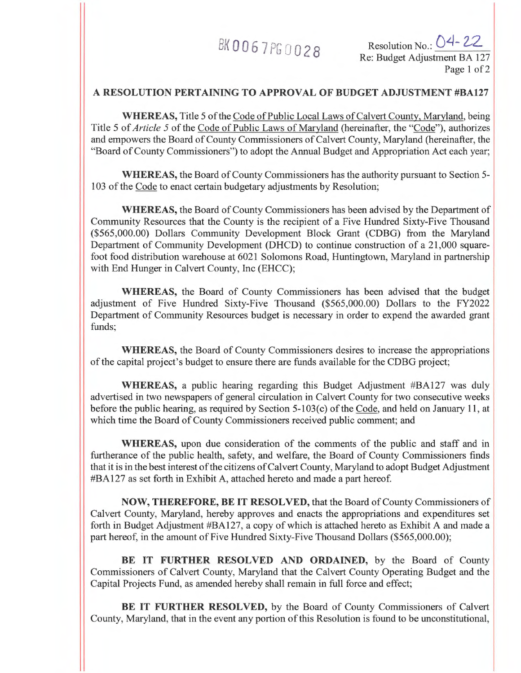$BK0067$  PG  $0.028$  Resolution No.:  $O4 - 22$ Re: Budget Adjustment BA 127 Page 1 of 2

## **A RESOLUTION PERTAINING TO APPROVAL OF BUDGET ADJUSTMENT #BA127**

**WHEREAS,** Title 5 of the Code of Public Local Laws of Calvert County, Maryland, being Title 5 of *Article 5* of the Code of Public Laws of Maryland (hereinafter, the "Code"), authorizes and empowers the Board of County Commissioners of Calvert County, Maryland (hereinafter, the "Board of County Commissioners") to adopt the Annual Budget and Appropriation Act each year;

**WHEREAS,** the Board of County Commissioners has the authority pursuant to Section 5- 103 of the Code to enact certain budgetary adjustments by Resolution;

WHEREAS, the Board of County Commissioners has been advised by the Department of Community Resources that the County is the recipient of a Five Hundred Sixty-Five Thousand (\$565,000.00) Dollars Community Development Block Grant (CDBG) from the Maryland Department of Community Development (DHCD) to continue construction of a 21,000 squarefoot food distribution warehouse at 6021 Solomons Road, Huntingtown, Maryland in partnership with End Hunger in Calvert County, Inc (EHCC);

**WHEREAS,** the Board of County Commissioners has been advised that the budget adjustment of Five Hundred Sixty-Five Thousand (\$565,000.00) Dollars to the FY2022 Department of Community Resources budget is necessary in order to expend the awarded grant funds;

**WHEREAS,** the Board of County Commissioners desires to increase the appropriations of the capital project's budget to ensure there are funds available for the CDBG project;

**WHEREAS,** a public hearing regarding this Budget Adjustment #BA127 was duly advertised in two newspapers of general circulation in Calvert County for two consecutive weeks before the public hearing, as required by Section 5-103(c) of the Code, and held on January 11, at which time the Board of County Commissioners received public comment; and

**WHEREAS,** upon due consideration of the comments of the public and staff and in furtherance of the public health, safety, and welfare, the Board of County Commissioners finds that it is in the best interest of the citizens of Calvert County, Maryland to adopt Budget Adjustment #BA127 as set forth in Exhibit A, attached hereto and made a part hereof

**NOW, THEREFORE, BE IT RESOLVED,** that the Board of County Commissioners of Calvert County, Maryland, hereby approves and enacts the appropriations and expenditures set forth in Budget Adjustment #BA127, a copy of which is attached hereto as Exhibit A and made a part hereof, in the amount of Five Hundred Sixty-Five Thousand Dollars (\$565,000.00);

**BE IT FURTHER RESOLVED AND ORDAINED,** by the Board of County Commissioners of Calvert County, Maryland that the Calvert County Operating Budget and the Capital Projects Fund, as amended hereby shall remain in full force and effect;

**BE IT FURTHER RESOLVED,** by the Board of County Commissioners of Calvert County, Maryland, that in the event any portion of this Resolution is found to be unconstitutional,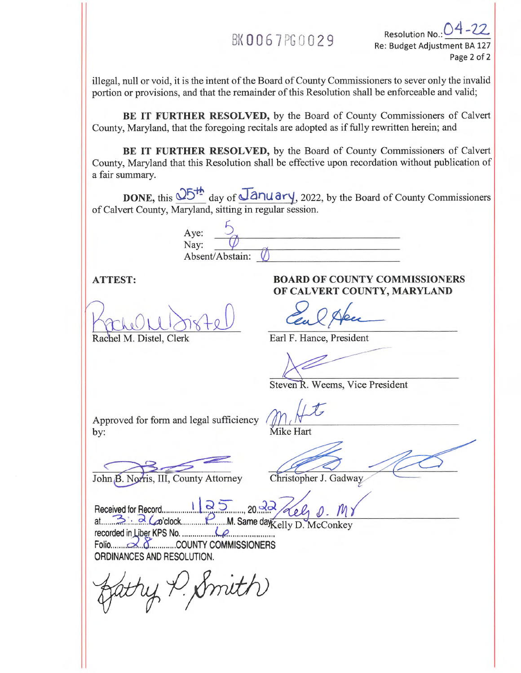# BK 0067PS 0029

Resolution No.: Re: Budget Adjustment BA 127 Page 2 of 2

illegal, null or void, it is the intent of the Board of County Commissioners to sever only the invalid portion or provisions, and that the remainder of this Resolution shall be enforceable and valid;

**BE IT FURTHER RESOLVED,** by the Board of County Commissioners of Calvert County, Maryland, that the foregoing recitals are adopted as if fully rewritten herein; and

**BE IT FURTHER RESOLVED,** by the Board of County Commissioners of Calvert County, Maryland that this Resolution shall be effective upon recordation without publication of a fair summary.

**DONE, this**  $\frac{0.05 \text{ Hz}}{0.05 \text{ Hz}}$  **day of**  $\frac{\sqrt{2}}{2}$  **and**  $\frac{0.022}{0.022}$ **, by the Board of County Commissioners** of Calvert County, Maryland, sitting in regular session.

Aye: Nay: Absent/Abstain:

Rachel M. Distel, Clerk Earl F. Hance, President

## **ATTEST: BOARD OF COUNTY COMMISSIONERS OF CALVERT COUNTY, MARYLAND**

Steven R. Weems, Vice President

Approved for form and legal sufficiency by: Mike Hart

John B. Norris, III, County Attorney Christopher J. Gadway.

Received for Record  $1125$ , 20  $32$  (ell at  $\frac{20}{2}$   $\frac{1}{2}$  ( $\alpha$ 'clock M. Same day Kelly D. McConkey recorded in fiber KPS No. Folio c..,< e COUNTY COMMISSIONERS ORDINANCES AND RESOLUTION.

 $H$ , Smith)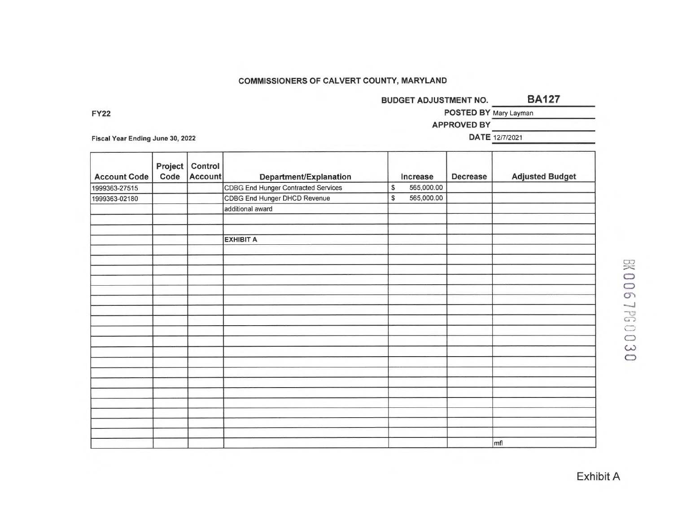### **COMMISSIONERS OF CALVERT COUNTY, MARYLAND**

**BUDGET ADJUSTMENT NO. BA127** 

**FY22** POSTED BY Mary Layman

**APPROVED BY** 

Fiscal Year Ending June 30, 2022 **DATE** 12/7/2021

| <b>Account Code</b> | Project<br>Code | Control<br>Account | Department/Explanation              | Increase         | <b>Decrease</b> | <b>Adjusted Budget</b> |
|---------------------|-----------------|--------------------|-------------------------------------|------------------|-----------------|------------------------|
| 1999363-27515       |                 |                    | CDBG End Hunger Contracted Services | \$<br>565,000.00 |                 |                        |
| 1999363-02180       |                 |                    | CDBG End Hunger DHCD Revenue        | \$<br>565,000.00 |                 |                        |
|                     |                 |                    | additional award                    |                  |                 |                        |
|                     |                 |                    |                                     |                  |                 |                        |
|                     |                 |                    | <b>EXHIBIT A</b>                    |                  |                 |                        |
|                     |                 |                    |                                     |                  |                 |                        |
|                     |                 |                    |                                     |                  |                 |                        |
|                     |                 |                    |                                     |                  |                 |                        |
|                     |                 |                    |                                     |                  |                 |                        |
|                     |                 |                    |                                     |                  |                 |                        |
|                     |                 |                    |                                     |                  |                 |                        |
|                     |                 |                    |                                     |                  |                 |                        |
|                     |                 |                    |                                     |                  |                 |                        |
|                     |                 |                    |                                     |                  |                 |                        |
|                     |                 |                    |                                     |                  |                 |                        |
|                     |                 |                    |                                     |                  |                 |                        |
|                     |                 |                    |                                     |                  |                 |                        |
|                     |                 |                    |                                     |                  |                 |                        |
|                     |                 |                    |                                     |                  |                 |                        |
|                     |                 |                    |                                     |                  |                 |                        |
|                     |                 |                    |                                     |                  |                 |                        |
|                     |                 |                    |                                     |                  |                 |                        |
|                     |                 |                    |                                     |                  |                 |                        |
|                     |                 |                    |                                     |                  |                 |                        |
|                     |                 |                    |                                     |                  |                 | mfl                    |

 $\bigcirc$ CD  $\mathcal{O}$  $\bigcirc$